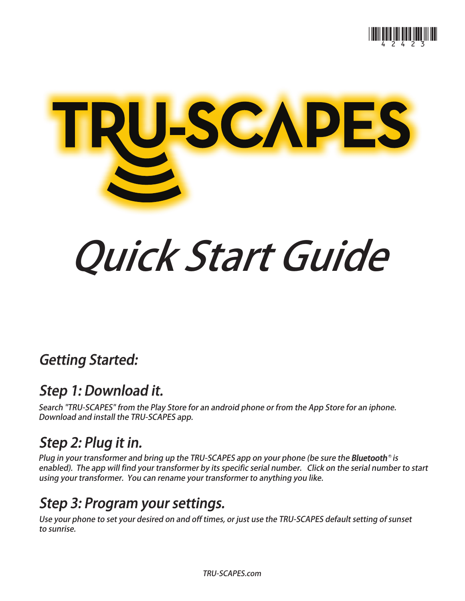



# Quick Start Guide

## Getting Started:

#### Step 1: Download it.

Search "TRU-SCAPES" from the Play Store for an android phone or from the App Store for an iphone. Download and install the TRU-SCAPES app.

## Step 2: Plug it in.

Plug in your transformer and bring up the TRU-SCAPES app on your phone (be sure the **Bluetooth**® is enabled). The app will find your transformer by its specific serial number. Click on the serial number to start using your transformer. You can rename your transformer to anything you like.

## Step 3: Program your settings.

Use your phone to set your desired on and off times, or just use the TRU-SCAPES default setting of sunset to sunrise.